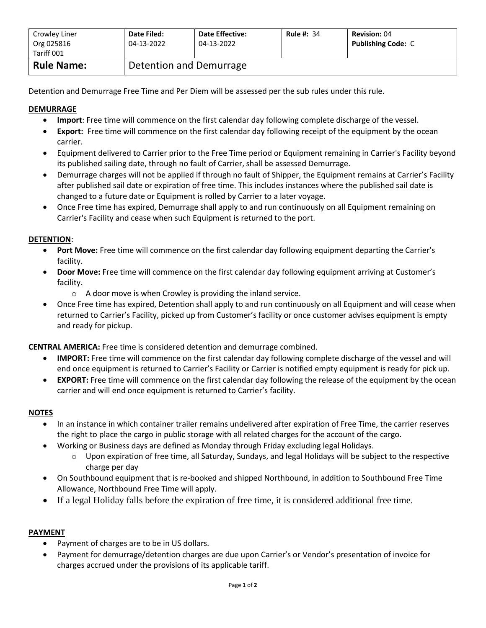| Crowley Liner<br>Org 025816<br>Tariff 001 | Date Filed:<br>04-13-2022 | <b>Date Effective:</b><br>04-13-2022 | <b>Rule #: 34</b> | <b>Revision: 04</b><br><b>Publishing Code: C</b> |  |
|-------------------------------------------|---------------------------|--------------------------------------|-------------------|--------------------------------------------------|--|
| <b>Rule Name:</b>                         | Detention and Demurrage   |                                      |                   |                                                  |  |

Detention and Demurrage Free Time and Per Diem will be assessed per the sub rules under this rule.

# **DEMURRAGE**

- **Import**: Free time will commence on the first calendar day following complete discharge of the vessel.
- **Export:** Free time will commence on the first calendar day following receipt of the equipment by the ocean carrier.
- Equipment delivered to Carrier prior to the Free Time period or Equipment remaining in Carrier's Facility beyond its published sailing date, through no fault of Carrier, shall be assessed Demurrage.
- Demurrage charges will not be applied if through no fault of Shipper, the Equipment remains at Carrier's Facility after published sail date or expiration of free time. This includes instances where the published sail date is changed to a future date or Equipment is rolled by Carrier to a later voyage.
- Once Free time has expired, Demurrage shall apply to and run continuously on all Equipment remaining on Carrier's Facility and cease when such Equipment is returned to the port.

## **DETENTION**:

- **Port Move:** Free time will commence on the first calendar day following equipment departing the Carrier's facility.
- **Door Move:** Free time will commence on the first calendar day following equipment arriving at Customer's facility.
	- o A door move is when Crowley is providing the inland service.
- Once Free time has expired, Detention shall apply to and run continuously on all Equipment and will cease when returned to Carrier's Facility, picked up from Customer's facility or once customer advises equipment is empty and ready for pickup.

**CENTRAL AMERICA:** Free time is considered detention and demurrage combined.

- **IMPORT:** Free time will commence on the first calendar day following complete discharge of the vessel and will end once equipment is returned to Carrier's Facility or Carrier is notified empty equipment is ready for pick up.
- **EXPORT:** Free time will commence on the first calendar day following the release of the equipment by the ocean carrier and will end once equipment is returned to Carrier's facility.

### **NOTES**

- In an instance in which container trailer remains undelivered after expiration of Free Time, the carrier reserves the right to place the cargo in public storage with all related charges for the account of the cargo.
- Working or Business days are defined as Monday through Friday excluding legal Holidays.
	- $\circ$  Upon expiration of free time, all Saturday, Sundays, and legal Holidays will be subject to the respective charge per day
- On Southbound equipment that is re-booked and shipped Northbound, in addition to Southbound Free Time Allowance, Northbound Free Time will apply.
- If a legal Holiday falls before the expiration of free time, it is considered additional free time.

### **PAYMENT**

- Payment of charges are to be in US dollars.
- Payment for demurrage/detention charges are due upon Carrier's or Vendor's presentation of invoice for charges accrued under the provisions of its applicable tariff.